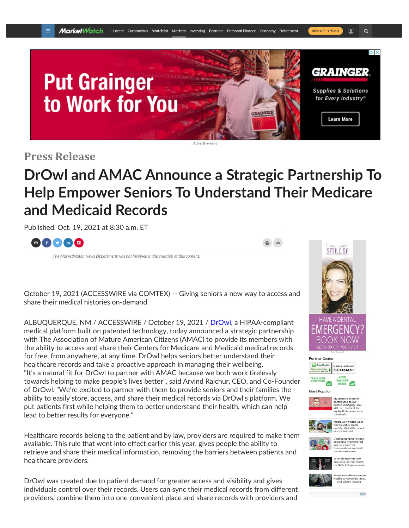

**Press Release**

# **DrOwl and AMAC Announce a Strategic Partnership To Help Empower Seniors To Understand Their Medicare and Medicaid Records**

Published: Oct. 19, 2021 at 8:30 a.m. ET



The MarketWatch News Department was not involved in the creation of this content.



October 19, 2021 (ACCESSWIRE via COMTEX) -- Giving seniors a new way to access and share their medical histories on-demand

ALBUQUERQUE, NM / ACCESSWIRE / October 19, 2021 / [DrOwl,](https://pr.report/vEXBNdeK) a HIPAA-compliant medical platform built on patented technology, today announced a strategic partnership with The Association of Mature American Citizens (AMAC) to provide its members with the ability to access and share their Centers for Medicare and Medicaid medical records for free, from anywhere, at any time. DrOwl helps seniors better understand their healthcare records and take a proactive approach in managing their wellbeing. "It's a natural fit for DrOwl to partner with AMAC because we both work tirelessly towards helping to make people's lives better", said Arvind Raichur, CEO, and Co-Founder of DrOwl. "We're excited to partner with them to provide seniors and their families the ability to easily store, access, and share their medical records via DrOwl's platform. We put patients first while helping them to better understand their health, which can help lead to better results for everyone."

Healthcare records belong to the patient and by law, providers are required to make them available. This rule that went into effect earlier this year, gives people the ability to retrieve and share their medical information, removing the barriers between patients and healthcare providers.

DrOwl was created due to patient demand for greater access and visibility and gives individuals control over their records. Users can sync their medical records from different providers, combine them into one convenient place and share records with providers and







*Ay* abusive ex never<br>:ontributed to our<br>:ome's mortgage. Do I<br>:till owe him half the n owe nim na<br>uitv if his nan



Silicon Valley Home—<br>Silicon Valley Home—<br>and the Weird Reason It<br>Hosn't Sold Vet



/irginia governor's race<br>could give 'flashing red<br>varning sign' for<br>Democrats — and shift<br>narket sentiment

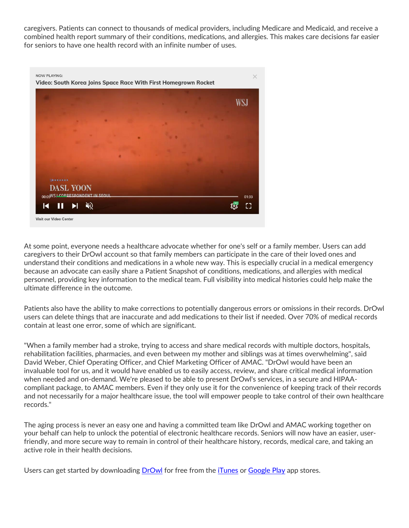caregivers. Patients can connect to thousands of medical providers, including Medicare and Medicaid, and receive a combined health report summary of their conditions, medications, and allergies. This makes care decisions far easier for seniors to have one health record with an infinite number of uses.



At some point, everyone needs a healthcare advocate whether for one's self or a family member. Users can add caregivers to their DrOwl account so that family members can participate in the care of their loved ones and understand their conditions and medications in a whole new way. This is especially crucial in a medical emergency because an advocate can easily share a Patient Snapshot of conditions, medications, and allergies with medical personnel, providing key information to the medical team. Full visibility into medical histories could help make the ultimate difference in the outcome.

Patients also have the ability to make corrections to potentially dangerous errors or omissions in their records. DrOwl users can delete things that are inaccurate and add medications to their list if needed. Over 70% of medical records contain at least one error, some of which are significant.

"When a family member had a stroke, trying to access and share medical records with multiple doctors, hospitals, rehabilitation facilities, pharmacies, and even between my mother and siblings was at times overwhelming", said David Weber, Chief Operating Officer, and Chief Marketing Officer of AMAC. "DrOwl would have been an invaluable tool for us, and it would have enabled us to easily access, review, and share critical medical information when needed and on-demand. We're pleased to be able to present DrOwl's services, in a secure and HIPAAcompliant package, to AMAC members. Even if they only use it for the convenience of keeping track of their records and not necessarily for a major healthcare issue, the tool will empower people to take control of their own healthcare records."

The aging process is never an easy one and having a committed team like DrOwl and AMAC working together on your behalf can help to unlock the potential of electronic healthcare records. Seniors will now have an easier, userfriendly, and more secure way to remain in control of their healthcare history, records, medical care, and taking an active role in their health decisions.

Users can get started by downloading **[DrOwl](https://pr.report/dyubYm9F)** for free from the *[iTunes](https://pr.report/-wV9gbBm)* or [Google](https://pr.report/1pzwAGcd) Play app stores.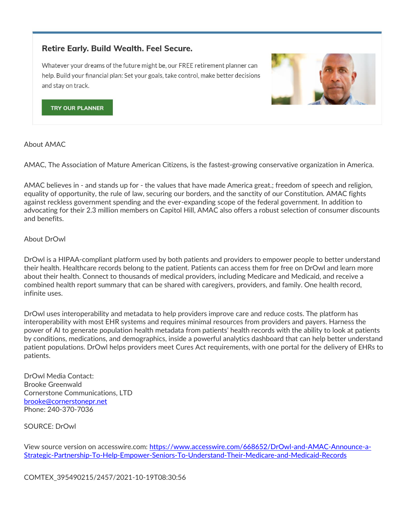## **Retire Early. Build Wealth. Feel Secure.**

Whatever your dreams of the future might be, our FREE retirement planner can help. Build your financial plan: Set your goals, take control, make better decisions and stay on track.



**TRY OUR PLANNER** 

About AMAC

AMAC, The Association of Mature American Citizens, is the fastest-growing conservative organization in America.

AMAC believes in - and stands up for - the values that have made America great.; freedom of speech and religion, equality of opportunity, the rule of law, securing our borders, and the sanctity of our Constitution. AMAC fights against reckless government spending and the ever-expanding scope of the federal government. In addition to advocating for their 2.3 million members on Capitol Hill, AMAC also offers a robust selection of consumer discounts and benefits.

#### About DrOwl

DrOwl is a HIPAA-compliant platform used by both patients and providers to empower people to better understand their health. Healthcare records belong to the patient. Patients can access them for free on DrOwl and learn more about their health. Connect to thousands of medical providers, including Medicare and Medicaid, and receive a combined health report summary that can be shared with caregivers, providers, and family. One health record, infinite uses.

DrOwl uses interoperability and metadata to help providers improve care and reduce costs. The platform has interoperability with most EHR systems and requires minimal resources from providers and payers. Harness the power of AI to generate population health metadata from patients' health records with the ability to look at patients by conditions, medications, and demographics, inside a powerful analytics dashboard that can help better understand patient populations. DrOwl helps providers meet Cures Act requirements, with one portal for the delivery of EHRs to patients.

DrOwl Media Contact: Brooke Greenwald Cornerstone Communications, LTD [brooke@cornerstonepr.net](mailto:brooke@cornerstonepr.net) Phone: 240-370-7036

SOURCE: DrOwl

View source version on accesswire.com: [https://www.accesswire.com/668652/DrOwl-and-AMAC-Announce-a-](https://www.accesswire.com/668652/DrOwl-and-AMAC-Announce-a-Strategic-Partnership-To-Help-Empower-Seniors-To-Understand-Their-Medicare-and-Medicaid-Records)[Strategic-Partnership-To-Help-Empower-Seniors-To-Understand-Their-Medicare-and-Medicaid-Records](https://www.accesswire.com/668652/DrOwl-and-AMAC-Announce-a-Strategic-Partnership-To-Help-Empower-Seniors-To-Understand-Their-Medicare-and-Medicaid-Records)

COMTEX\_395490215/2457/2021-10-19T08:30:56